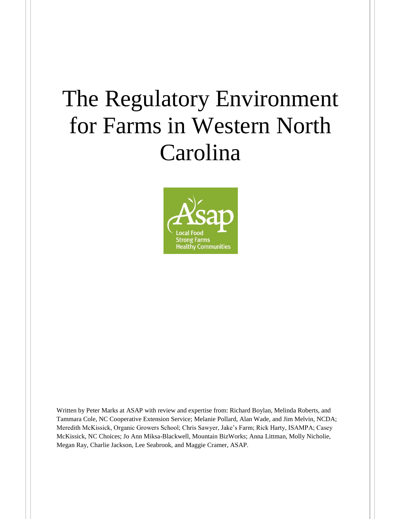# The Regulatory Environment for Farms in Western North Carolina



Written by Peter Marks at ASAP with review and expertise from: Richard Boylan, Melinda Roberts, and Tammara Cole, NC Cooperative Extension Service; Melanie Pollard, Alan Wade, and Jim Melvin, NCDA; Meredith McKissick, Organic Growers School; Chris Sawyer, Jake's Farm; Rick Harty, ISAMPA; Casey McKissick, NC Choices; Jo Ann Miksa-Blackwell, Mountain BizWorks; Anna Littman, Molly Nicholie, Megan Ray, Charlie Jackson, Lee Seabrook, and Maggie Cramer, ASAP.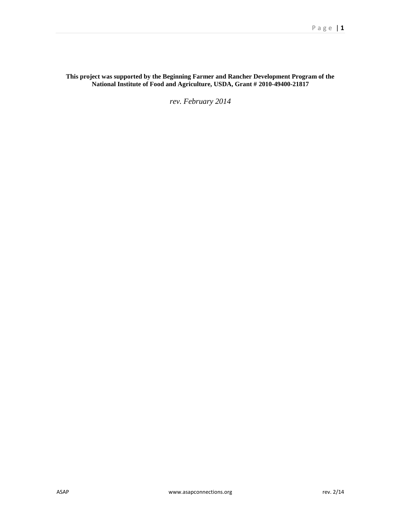## **This project was supported by the Beginning Farmer and Rancher Development Program of the National Institute of Food and Agriculture, USDA, Grant # 2010-49400-21817**

*rev. February 2014*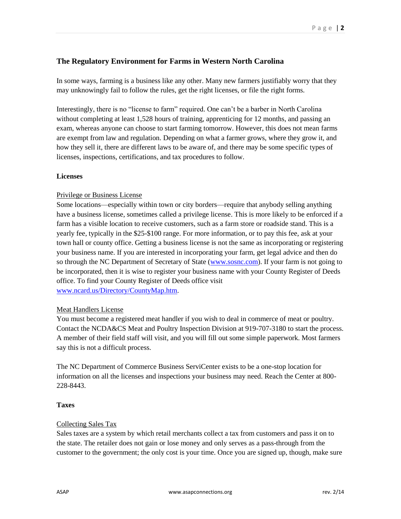# **The Regulatory Environment for Farms in Western North Carolina**

In some ways, farming is a business like any other. Many new farmers justifiably worry that they may unknowingly fail to follow the rules, get the right licenses, or file the right forms.

Interestingly, there is no "license to farm" required. One can't be a barber in North Carolina without completing at least 1,528 hours of training, apprenticing for 12 months, and passing an exam, whereas anyone can choose to start farming tomorrow. However, this does not mean farms are exempt from law and regulation. Depending on what a farmer grows, where they grow it, and how they sell it, there are different laws to be aware of, and there may be some specific types of licenses, inspections, certifications, and tax procedures to follow.

#### **Licenses**

#### Privilege or Business License

Some locations—especially within town or city borders—require that anybody selling anything have a business license, sometimes called a privilege license. This is more likely to be enforced if a farm has a visible location to receive customers, such as a farm store or roadside stand. This is a yearly fee, typically in the \$25-\$100 range. For more information, or to pay this fee, ask at your town hall or county office. Getting a business license is not the same as incorporating or registering your business name. If you are interested in incorporating your farm, get legal advice and then do so through the NC Department of Secretary of State [\(www.sosnc.com\)](http://www.sosnc.com/). If your farm is not going to be incorporated, then it is wise to register your business name with your County Register of Deeds office. To find your County Register of Deeds office visit [www.ncard.us/Directory/CountyMap.htm.](http://www.ncard.us/Directory/CountyMap.htm)

## Meat Handlers License

You must become a registered meat handler if you wish to deal in commerce of meat or poultry. Contact the NCDA&CS Meat and Poultry Inspection Division at 919-707-3180 to start the process. A member of their field staff will visit, and you will fill out some simple paperwork. Most farmers say this is not a difficult process.

The NC Department of Commerce Business ServiCenter exists to be a one-stop location for information on all the licenses and inspections your business may need. Reach the Center at 800- 228-8443.

#### **Taxes**

## Collecting Sales Tax

Sales taxes are a system by which retail merchants collect a tax from customers and pass it on to the state. The retailer does not gain or lose money and only serves as a pass-through from the customer to the government; the only cost is your time. Once you are signed up, though, make sure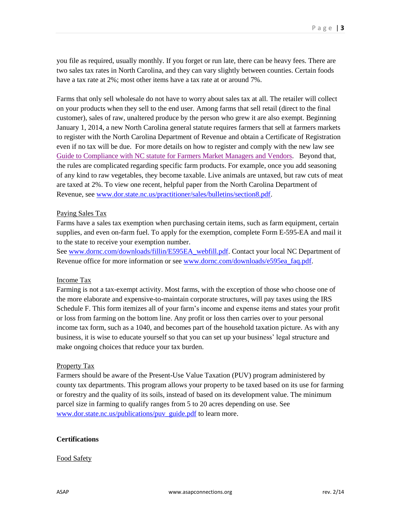you file as required, usually monthly. If you forget or run late, there can be heavy fees. There are two sales tax rates in North Carolina, and they can vary slightly between counties. Certain foods have a tax rate at 2%; most other items have a tax rate at or around 7%.

Farms that only sell wholesale do not have to worry about sales tax at all. The retailer will collect on your products when they sell to the end user. Among farms that sell retail (direct to the final customer), sales of raw, unaltered produce by the person who grew it are also exempt. Beginning January 1, 2014, a new North Carolina general statute requires farmers that sell at farmers markets to register with the North Carolina Department of Revenue and obtain a Certificate of Registration even if no tax will be due. For more details on how to register and comply with the new law see [Guide to Compliance with NC statute for Farmers Market Managers and Vendors.](https://docs.google.com/a/asapconnections.org/document/d/1s8eL3UWDLwO5y8yPnUH_7p16DnwHLYqJCsB2SSA_-Vs/edit) Beyond that, the rules are complicated regarding specific farm products. For example, once you add seasoning of any kind to raw vegetables, they become taxable. Live animals are untaxed, but raw cuts of meat are taxed at 2%. To view one recent, helpful paper from the North Carolina Department of Revenue, see [www.dor.state.nc.us/practitioner/sales/bulletins/section8.pdf.](http://www.dor.state.nc.us/practitioner/sales/bulletins/section8.pdf)

#### Paying Sales Tax

Farms have a sales tax exemption when purchasing certain items, such as farm equipment, certain supplies, and even on-farm fuel. To apply for the exemption, complete Form E-595-EA and mail it to the state to receive your exemption number.

See [www.dornc.com/downloads/fillin/E595EA\\_webfill.pdf.](http://www.dornc.com/downloads/fillin/E595EA_webfill.pdf) Contact your local NC Department of Revenue office for more information or see [www.dornc.com/downloads/e595ea\\_faq.pdf.](http://www.dornc.com/downloads/e595ea_faq.pdf)

#### Income Tax

Farming is not a tax-exempt activity. Most farms, with the exception of those who choose one of the more elaborate and expensive-to-maintain corporate structures, will pay taxes using the IRS Schedule F. This form itemizes all of your farm's income and expense items and states your profit or loss from farming on the bottom line. Any profit or loss then carries over to your personal income tax form, such as a 1040, and becomes part of the household taxation picture. As with any business, it is wise to educate yourself so that you can set up your business' legal structure and make ongoing choices that reduce your tax burden.

#### Property Tax

Farmers should be aware of the Present-Use Value Taxation (PUV) program administered by county tax departments. This program allows your property to be taxed based on its use for farming or forestry and the quality of its soils, instead of based on its development value. The minimum parcel size in farming to qualify ranges from 5 to 20 acres depending on use. See [www.dor.state.nc.us/publications/puv\\_guide.pdf](http://www.dor.state.nc.us/publications/puv_guide.pdf) to learn more.

## **Certifications**

#### Food Safety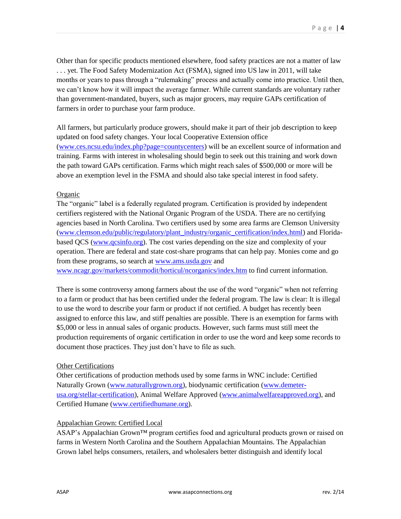Other than for specific products mentioned elsewhere, food safety practices are not a matter of law . . . yet. The Food Safety Modernization Act (FSMA), signed into US law in 2011, will take months or years to pass through a "rulemaking" process and actually come into practice. Until then, we can't know how it will impact the average farmer. While current standards are voluntary rather than government-mandated, buyers, such as major grocers, may require GAPs certification of farmers in order to purchase your farm produce.

All farmers, but particularly produce growers, should make it part of their job description to keep updated on food safety changes. Your local Cooperative Extension office [\(www.ces.ncsu.edu/index.php?page=countycenters\)](http://www.ces.ncsu.edu/index.php?page=countycenters) will be an excellent source of information and training. Farms with interest in wholesaling should begin to seek out this training and work down the path toward GAPs certification. Farms which might reach sales of \$500,000 or more will be above an exemption level in the FSMA and should also take special interest in food safety.

## Organic

The "organic" label is a federally regulated program. Certification is provided by independent certifiers registered with the National Organic Program of the USDA. There are no certifying agencies based in North Carolina. Two certifiers used by some area farms are Clemson University [\(www.clemson.edu/public/regulatory/plant\\_industry/organic\\_certification/index.html\)](http://www.clemson.edu/public/regulatory/plant_industry/organic_certification/index.html) and Floridabased QCS [\(www.qcsinfo.org\)](http://www.qcsinfo.org/). The cost varies depending on the size and complexity of your operation. There are federal and state cost-share programs that can help pay. Monies come and go from these programs, so search at [www.ams.usda.gov](http://www.ams.usda.gov/) and [www.ncagr.gov/markets/commodit/horticul/ncorganics/index.htm](http://www.ncagr.gov/markets/commodit/horticul/ncorganics/index.htm) to find current information.

There is some controversy among farmers about the use of the word "organic" when not referring to a farm or product that has been certified under the federal program. The law is clear: It is illegal to use the word to describe your farm or product if not certified. A budget has recently been assigned to enforce this law, and stiff penalties are possible. There is an exemption for farms with \$5,000 or less in annual sales of organic products. However, such farms must still meet the production requirements of organic certification in order to use the word and keep some records to document those practices. They just don't have to file as such.

## Other Certifications

Other certifications of production methods used by some farms in WNC include: Certified Naturally Grown [\(www.naturallygrown.org\)](http://www.naturallygrown.org/), biodynamic certification [\(www.demeter](http://demeter-usa.org/stellar-certification/)[usa.org/stellar-certification\)](http://demeter-usa.org/stellar-certification/), Animal Welfare Approved [\(www.animalwelfareapproved.org\)](http://www.animalwelfareapproved.org/), and Certified Humane [\(www.certifiedhumane.org\)](http://www.certifiedhumane.org/).

## Appalachian Grown: Certified Local

ASAP's Appalachian Grown™ program certifies food and agricultural products grown or raised on farms in Western North Carolina and the Southern Appalachian Mountains. The Appalachian Grown label helps consumers, retailers, and wholesalers better distinguish and identify local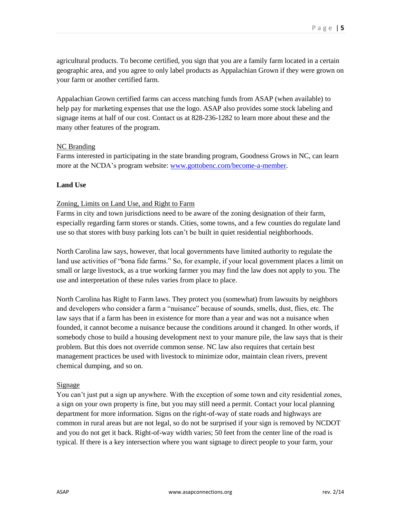agricultural products. To become certified, you sign that you are a family farm located in a certain geographic area, and you agree to only label products as Appalachian Grown if they were grown on your farm or another certified farm.

Appalachian Grown certified farms can access matching funds from ASAP (when available) to help pay for marketing expenses that use the logo. ASAP also provides some stock labeling and signage items at half of our cost. Contact us at 828-236-1282 to learn more about these and the many other features of the program.

## NC Branding

Farms interested in participating in the state branding program, Goodness Grows in NC, can learn more at the NCDA's program website: [www.gottobenc.com/become-a-member.](http://www.gottobenc.com/become-a-member)

#### **Land Use**

#### Zoning, Limits on Land Use, and Right to Farm

Farms in city and town jurisdictions need to be aware of the zoning designation of their farm, especially regarding farm stores or stands. Cities, some towns, and a few counties do regulate land use so that stores with busy parking lots can't be built in quiet residential neighborhoods.

North Carolina law says, however, that local governments have limited authority to regulate the land use activities of "bona fide farms." So, for example, if your local government places a limit on small or large livestock, as a true working farmer you may find the law does not apply to you. The use and interpretation of these rules varies from place to place.

North Carolina has Right to Farm laws. They protect you (somewhat) from lawsuits by neighbors and developers who consider a farm a "nuisance" because of sounds, smells, dust, flies, etc. The law says that if a farm has been in existence for more than a year and was not a nuisance when founded, it cannot become a nuisance because the conditions around it changed. In other words, if somebody chose to build a housing development next to your manure pile, the law says that is their problem. But this does not override common sense. NC law also requires that certain best management practices be used with livestock to minimize odor, maintain clean rivers, prevent chemical dumping, and so on.

#### Signage

You can't just put a sign up anywhere. With the exception of some town and city residential zones, a sign on your own property is fine, but you may still need a permit. Contact your local planning department for more information. Signs on the right-of-way of state roads and highways are common in rural areas but are not legal, so do not be surprised if your sign is removed by NCDOT and you do not get it back. Right-of-way width varies; 50 feet from the center line of the road is typical. If there is a key intersection where you want signage to direct people to your farm, your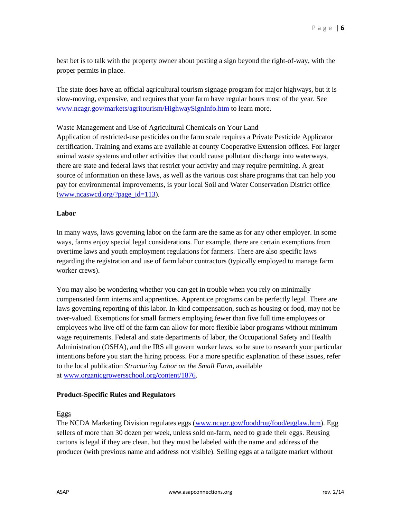best bet is to talk with the property owner about posting a sign beyond the right-of-way, with the proper permits in place.

The state does have an official agricultural tourism signage program for major highways, but it is slow-moving, expensive, and requires that your farm have regular hours most of the year. See [www.ncagr.gov/markets/agritourism/HighwaySignInfo.htm](http://www.ncagr.gov/markets/agritourism/HighwaySignInfo.htm) to learn more.

#### Waste Management and Use of Agricultural Chemicals on Your Land

Application of restricted-use pesticides on the farm scale requires a Private Pesticide Applicator certification. Training and exams are available at county Cooperative Extension offices. For larger animal waste systems and other activities that could cause pollutant discharge into waterways, there are state and federal laws that restrict your activity and may require permitting. A great source of information on these laws, as well as the various cost share programs that can help you pay for environmental improvements, is your local Soil and Water Conservation District office [\(www.ncaswcd.org/?page\\_id=113\)](http://www.ncaswcd.org/?page_id=113).

#### **Labor**

In many ways, laws governing labor on the farm are the same as for any other employer. In some ways, farms enjoy special legal considerations. For example, there are certain exemptions from overtime laws and youth employment regulations for farmers. There are also specific laws regarding the registration and use of farm labor contractors (typically employed to manage farm worker crews).

You may also be wondering whether you can get in trouble when you rely on minimally compensated farm interns and apprentices. Apprentice programs can be perfectly legal. There are laws governing reporting of this labor. In-kind compensation, such as housing or food, may not be over-valued. Exemptions for small farmers employing fewer than five full time employees or employees who live off of the farm can allow for more flexible labor programs without minimum wage requirements. Federal and state departments of labor, the Occupational Safety and Health Administration (OSHA), and the IRS all govern worker laws, so be sure to research your particular intentions before you start the hiring process. For a more specific explanation of these issues, refer to the local publication *Structuring Labor on the Small Farm*, available at [www.organicgrowersschool.org/content/1876.](http://www.organicgrowersschool.org/content/1876)

#### **Product-Specific Rules and Regulators**

#### Eggs

The NCDA Marketing Division regulates eggs [\(www.ncagr.gov/fooddrug/food/egglaw.htm\)](http://www.ncagr.gov/fooddrug/food/egglaw.htm). Egg sellers of more than 30 dozen per week, unless sold on-farm, need to grade their eggs. Reusing cartons is legal if they are clean, but they must be labeled with the name and address of the producer (with previous name and address not visible). Selling eggs at a tailgate market without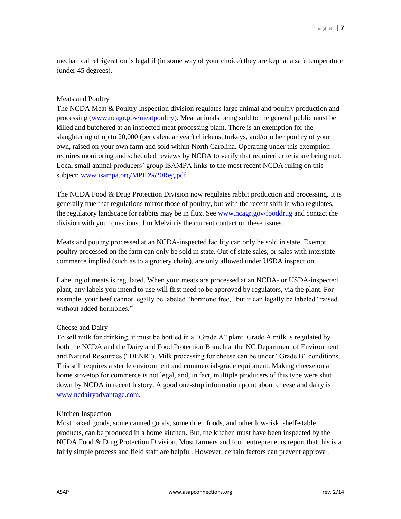mechanical refrigeration is legal if (in some way of your choice) they are kept at a safe temperature (under 45 degrees).

## Meats and Poultry

The NCDA Meat & Poultry Inspection division regulates large animal and poultry production and processing [\(www.ncagr.gov/meatpoultry\)](http://(www.ncagr.gov/MeatPoultry/). Meat animals being sold to the general public must be killed and butchered at an inspected meat processing plant. There is an exemption for the slaughtering of up to 20,000 (per calendar year) chickens, turkeys, and/or other poultry of your own, raised on your own farm and sold within North Carolina. Operating under this exemption requires monitoring and scheduled reviews by NCDA to verify that required criteria are being met. Local small animal producers' group ISAMPA links to the most recent NCDA ruling on this subject: [www.isampa.org/MPID%20Reg.pdf.](http://www.isampa.org/MPID%20Reg.pdf)

The NCDA Food & Drug Protection Division now regulates rabbit production and processing. It is generally true that regulations mirror those of poultry, but with the recent shift in who regulates, the regulatory landscape for rabbits may be in flux. See [www.ncagr.gov/fooddrug](http://www.ncagr.gov/fooddrug/) and contact the division with your questions. Jim Melvin is the current contact on these issues.

Meats and poultry processed at an NCDA-inspected facility can only be sold in state. Exempt poultry processed on the farm can only be sold in state. Out of state sales, or sales with interstate commerce implied (such as to a grocery chain), are only allowed under USDA inspection.

Labeling of meats is regulated. When your meats are processed at an NCDA- or USDA-inspected plant, any labels you intend to use will first need to be approved by regulators, via the plant. For example, your beef cannot legally be labeled "hormone free," but it can legally be labeled "raised without added hormones."

## Cheese and Dairy

To sell milk for drinking, it must be bottled in a "Grade A" plant. Grade A milk is regulated by both the NCDA and the Dairy and Food Protection Branch at the NC Department of Environment and Natural Resources ("DENR"). Milk processing for cheese can be under "Grade B" conditions. This still requires a sterile environment and commercial-grade equipment. Making cheese on a home stovetop for commerce is not legal, and, in fact, multiple producers of this type were shut down by NCDA in recent history. A good one-stop information point about cheese and dairy is [www.ncdairyadvantage.com.](http://www.ncdairyadvantage.com/)

## Kitchen Inspection

Most baked goods, some canned goods, some dried foods, and other low-risk, shelf-stable products, can be produced in a home kitchen. But, the kitchen must have been inspected by the NCDA Food & Drug Protection Division. Most farmers and food entrepreneurs report that this is a fairly simple process and field staff are helpful. However, certain factors can prevent approval.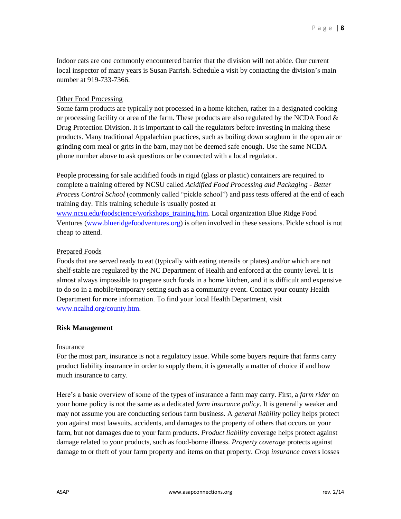Indoor cats are one commonly encountered barrier that the division will not abide. Our current local inspector of many years is Susan Parrish. Schedule a visit by contacting the division's main number at 919-733-7366.

#### Other Food Processing

Some farm products are typically not processed in a home kitchen, rather in a designated cooking or processing facility or area of the farm. These products are also regulated by the NCDA Food  $\&$ Drug Protection Division. It is important to call the regulators before investing in making these products. Many traditional Appalachian practices, such as boiling down sorghum in the open air or grinding corn meal or grits in the barn, may not be deemed safe enough. Use the same NCDA phone number above to ask questions or be connected with a local regulator.

People processing for sale acidified foods in rigid (glass or plastic) containers are required to complete a training offered by NCSU called *Acidified Food Processing and Packaging - Better Process Control School* (commonly called "pickle school") and pass tests offered at the end of each training day. This training schedule is usually posted at

[www.ncsu.edu/foodscience/workshops\\_training.htm.](http://www.ncsu.edu/foodscience/workshops_training.htm) Local organization Blue Ridge Food Ventures [\(www.blueridgefoodventures.org\)](http://www.blueridgefoodventures.org/) is often involved in these sessions. Pickle school is not cheap to attend.

#### Prepared Foods

Foods that are served ready to eat (typically with eating utensils or plates) and/or which are not shelf-stable are regulated by the NC Department of Health and enforced at the county level. It is almost always impossible to prepare such foods in a home kitchen, and it is difficult and expensive to do so in a mobile/temporary setting such as a community event. Contact your county Health Department for more information. To find your local Health Department, visit [www.ncalhd.org/county.htm.](http://www.ncalhd.org/county.htm)

## **Risk Management**

#### Insurance

For the most part, insurance is not a regulatory issue. While some buyers require that farms carry product liability insurance in order to supply them, it is generally a matter of choice if and how much insurance to carry.

Here's a basic overview of some of the types of insurance a farm may carry. First, a *farm rider* on your home policy is not the same as a dedicated *farm insurance policy*. It is generally weaker and may not assume you are conducting serious farm business. A *general liability* policy helps protect you against most lawsuits, accidents, and damages to the property of others that occurs on your farm, but not damages due to your farm products. *Product liability* coverage helps protect against damage related to your products, such as food-borne illness. *Property coverage* protects against damage to or theft of your farm property and items on that property. *Crop insurance* covers losses